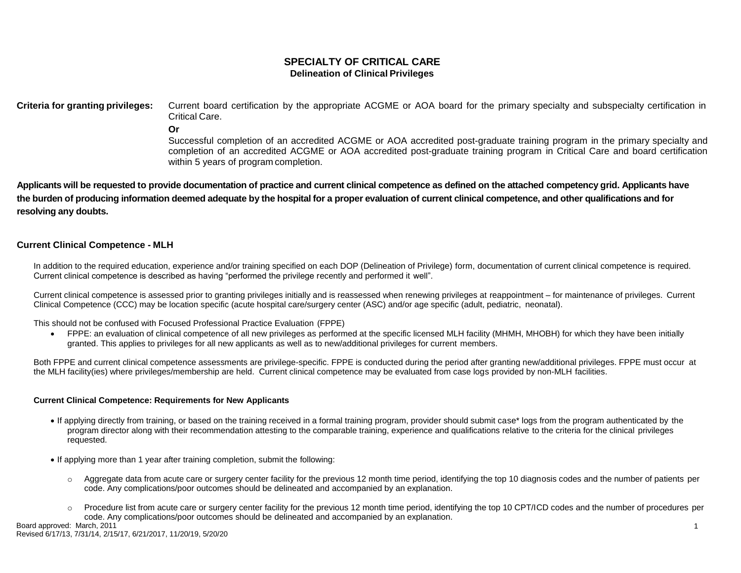# **SPECIALTY OF CRITICAL CARE Delineation of Clinical Privileges**

**Criteria for granting privileges:** Current board certification by the appropriate ACGME or AOA board for the primary specialty and subspecialty certification in Critical Care.

**Or**

Successful completion of an accredited ACGME or AOA accredited post-graduate training program in the primary specialty and completion of an accredited ACGME or AOA accredited post-graduate training program in Critical Care and board certification within 5 years of program completion.

Applicants will be requested to provide documentation of practice and current clinical competence as defined on the attached competency grid. Applicants have the burden of producing information deemed adequate by the hospital for a proper evaluation of current clinical competence, and other qualifications and for **resolving any doubts.**

# **Current Clinical Competence - MLH**

In addition to the required education, experience and/or training specified on each DOP (Delineation of Privilege) form, documentation of current clinical competence is required. Current clinical competence is described as having "performed the privilege recently and performed it well".

Current clinical competence is assessed prior to granting privileges initially and is reassessed when renewing privileges at reappointment – for maintenance of privileges. Current Clinical Competence (CCC) may be location specific (acute hospital care/surgery center (ASC) and/or age specific (adult, pediatric, neonatal).

This should not be confused with Focused Professional Practice Evaluation (FPPE)

 FPPE: an evaluation of clinical competence of all new privileges as performed at the specific licensed MLH facility (MHMH, MHOBH) for which they have been initially granted. This applies to privileges for all new applicants as well as to new/additional privileges for current members.

Both FPPE and current clinical competence assessments are privilege-specific. FPPE is conducted during the period after granting new/additional privileges. FPPE must occur at the MLH facility(ies) where privileges/membership are held. Current clinical competence may be evaluated from case logs provided by non-MLH facilities.

#### **Current Clinical Competence: Requirements for New Applicants**

- If applying directly from training, or based on the training received in a formal training program, provider should submit case\* logs from the program authenticated by the program director along with their recommendation attesting to the comparable training, experience and qualifications relative to the criteria for the clinical privileges requested.
- If applying more than 1 year after training completion, submit the following:
	- o Aggregate data from acute care or surgery center facility for the previous 12 month time period, identifying the top 10 diagnosis codes and the number of patients per code. Any complications/poor outcomes should be delineated and accompanied by an explanation.
	- Procedure list from acute care or surgery center facility for the previous 12 month time period, identifying the top 10 CPT/ICD codes and the number of procedures per code. Any complications/poor outcomes should be delineated and accompanied by an explanation.

Board approved: March, 2011 Revised 6/17/13, 7/31/14, 2/15/17, 6/21/2017, 11/20/19, 5/20/20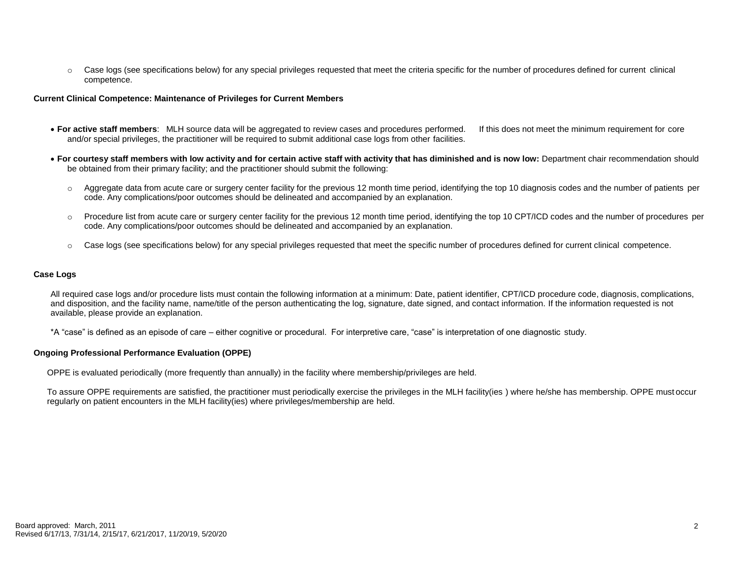$\circ$  Case logs (see specifications below) for any special privileges requested that meet the criteria specific for the number of procedures defined for current clinical competence.

#### **Current Clinical Competence: Maintenance of Privileges for Current Members**

- For active staff members: MLH source data will be aggregated to review cases and procedures performed. If this does not meet the minimum requirement for core and/or special privileges, the practitioner will be required to submit additional case logs from other facilities.
- For courtesy staff members with low activity and for certain active staff with activity that has diminished and is now low: Department chair recommendation should be obtained from their primary facility; and the practitioner should submit the following:
	- $\circ$  Aggregate data from acute care or surgery center facility for the previous 12 month time period, identifying the top 10 diagnosis codes and the number of patients per code. Any complications/poor outcomes should be delineated and accompanied by an explanation.
	- o Procedure list from acute care or surgery center facility for the previous 12 month time period, identifying the top 10 CPT/ICD codes and the number of procedures per code. Any complications/poor outcomes should be delineated and accompanied by an explanation.
	- o Case logs (see specifications below) for any special privileges requested that meet the specific number of procedures defined for current clinical competence.

#### **Case Logs**

All required case logs and/or procedure lists must contain the following information at a minimum: Date, patient identifier, CPT/ICD procedure code, diagnosis, complications, and disposition, and the facility name, name/title of the person authenticating the log, signature, date signed, and contact information. If the information requested is not available, please provide an explanation.

\*A "case" is defined as an episode of care – either cognitive or procedural. For interpretive care, "case" is interpretation of one diagnostic study.

#### **Ongoing Professional Performance Evaluation (OPPE)**

OPPE is evaluated periodically (more frequently than annually) in the facility where membership/privileges are held.

To assure OPPE requirements are satisfied, the practitioner must periodically exercise the privileges in the MLH facility(ies ) where he/she has membership. OPPE must occur regularly on patient encounters in the MLH facility(ies) where privileges/membership are held.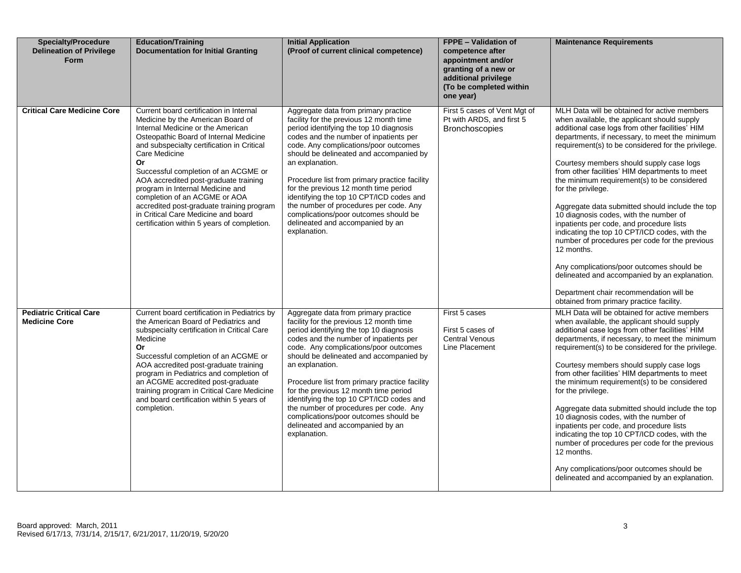| <b>Specialty/Procedure</b><br><b>Delineation of Privilege</b><br>Form | <b>Education/Training</b><br><b>Documentation for Initial Granting</b>                                                                                                                                                                                                                                                                                                                                                                                                                                                    | <b>Initial Application</b><br>(Proof of current clinical competence)                                                                                                                                                                                                                                                                                                                                                                                                                                                                                     | <b>FPPE - Validation of</b><br>competence after<br>appointment and/or<br>granting of a new or<br>additional privilege<br>(To be completed within<br>one year) | <b>Maintenance Requirements</b>                                                                                                                                                                                                                                                                                                                                                                                                                                                                                                                                                                                                                                                                                                                                                                                                                                          |
|-----------------------------------------------------------------------|---------------------------------------------------------------------------------------------------------------------------------------------------------------------------------------------------------------------------------------------------------------------------------------------------------------------------------------------------------------------------------------------------------------------------------------------------------------------------------------------------------------------------|----------------------------------------------------------------------------------------------------------------------------------------------------------------------------------------------------------------------------------------------------------------------------------------------------------------------------------------------------------------------------------------------------------------------------------------------------------------------------------------------------------------------------------------------------------|---------------------------------------------------------------------------------------------------------------------------------------------------------------|--------------------------------------------------------------------------------------------------------------------------------------------------------------------------------------------------------------------------------------------------------------------------------------------------------------------------------------------------------------------------------------------------------------------------------------------------------------------------------------------------------------------------------------------------------------------------------------------------------------------------------------------------------------------------------------------------------------------------------------------------------------------------------------------------------------------------------------------------------------------------|
| <b>Critical Care Medicine Core</b>                                    | Current board certification in Internal<br>Medicine by the American Board of<br>Internal Medicine or the American<br>Osteopathic Board of Internal Medicine<br>and subspecialty certification in Critical<br>Care Medicine<br>Or<br>Successful completion of an ACGME or<br>AOA accredited post-graduate training<br>program in Internal Medicine and<br>completion of an ACGME or AOA<br>accredited post-graduate training program<br>in Critical Care Medicine and board<br>certification within 5 years of completion. | Aggregate data from primary practice<br>facility for the previous 12 month time<br>period identifying the top 10 diagnosis<br>codes and the number of inpatients per<br>code. Any complications/poor outcomes<br>should be delineated and accompanied by<br>an explanation.<br>Procedure list from primary practice facility<br>for the previous 12 month time period<br>identifying the top 10 CPT/ICD codes and<br>the number of procedures per code. Any<br>complications/poor outcomes should be<br>delineated and accompanied by an<br>explanation. | First 5 cases of Vent Mgt of<br>Pt with ARDS, and first 5<br><b>Bronchoscopies</b>                                                                            | MLH Data will be obtained for active members<br>when available, the applicant should supply<br>additional case logs from other facilities' HIM<br>departments, if necessary, to meet the minimum<br>requirement(s) to be considered for the privilege.<br>Courtesy members should supply case logs<br>from other facilities' HIM departments to meet<br>the minimum requirement(s) to be considered<br>for the privilege.<br>Aggregate data submitted should include the top<br>10 diagnosis codes, with the number of<br>inpatients per code, and procedure lists<br>indicating the top 10 CPT/ICD codes, with the<br>number of procedures per code for the previous<br>12 months.<br>Any complications/poor outcomes should be<br>delineated and accompanied by an explanation.<br>Department chair recommendation will be<br>obtained from primary practice facility. |
| <b>Pediatric Critical Care</b><br><b>Medicine Core</b>                | Current board certification in Pediatrics by<br>the American Board of Pediatrics and<br>subspecialty certification in Critical Care<br>Medicine<br>Or<br>Successful completion of an ACGME or<br>AOA accredited post-graduate training<br>program in Pediatrics and completion of<br>an ACGME accredited post-graduate<br>training program in Critical Care Medicine<br>and board certification within 5 years of<br>completion.                                                                                          | Aggregate data from primary practice<br>facility for the previous 12 month time<br>period identifying the top 10 diagnosis<br>codes and the number of inpatients per<br>code. Any complications/poor outcomes<br>should be delineated and accompanied by<br>an explanation.<br>Procedure list from primary practice facility<br>for the previous 12 month time period<br>identifying the top 10 CPT/ICD codes and<br>the number of procedures per code. Any<br>complications/poor outcomes should be<br>delineated and accompanied by an<br>explanation. | First 5 cases<br>First 5 cases of<br><b>Central Venous</b><br>Line Placement                                                                                  | MLH Data will be obtained for active members<br>when available, the applicant should supply<br>additional case logs from other facilities' HIM<br>departments, if necessary, to meet the minimum<br>requirement(s) to be considered for the privilege.<br>Courtesy members should supply case logs<br>from other facilities' HIM departments to meet<br>the minimum requirement(s) to be considered<br>for the privilege.<br>Aggregate data submitted should include the top<br>10 diagnosis codes, with the number of<br>inpatients per code, and procedure lists<br>indicating the top 10 CPT/ICD codes, with the<br>number of procedures per code for the previous<br>12 months.<br>Any complications/poor outcomes should be<br>delineated and accompanied by an explanation.                                                                                        |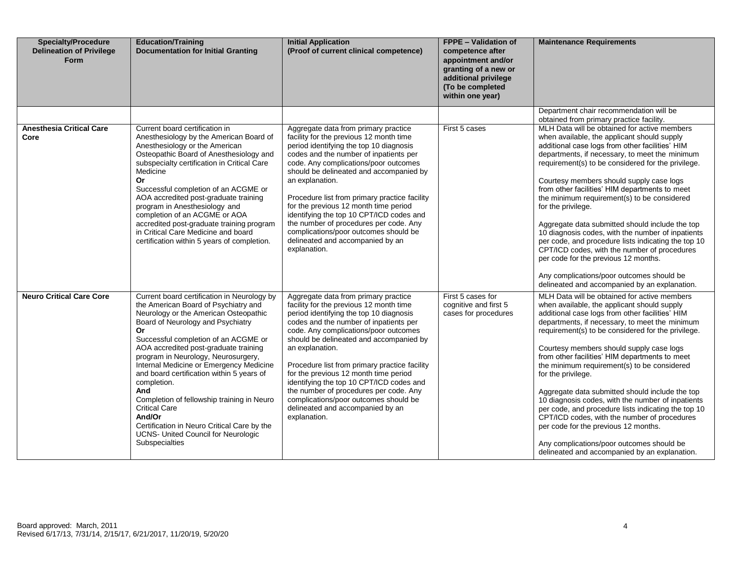| <b>Specialty/Procedure</b><br><b>Delineation of Privilege</b><br>Form | <b>Education/Training</b><br><b>Documentation for Initial Granting</b>                                                                                                                                                                                                                                                                                                                                                                                                                                                                                                                                       | <b>Initial Application</b><br>(Proof of current clinical competence)                                                                                                                                                                                                                                                                                                                                                                                                                                                                                     | <b>FPPE - Validation of</b><br>competence after<br>appointment and/or<br>granting of a new or<br>additional privilege<br>(To be completed<br>within one year) | <b>Maintenance Requirements</b>                                                                                                                                                                                                                                                                                                                                                                                                                                                                                                                                                                                                                                                                                                                                                |
|-----------------------------------------------------------------------|--------------------------------------------------------------------------------------------------------------------------------------------------------------------------------------------------------------------------------------------------------------------------------------------------------------------------------------------------------------------------------------------------------------------------------------------------------------------------------------------------------------------------------------------------------------------------------------------------------------|----------------------------------------------------------------------------------------------------------------------------------------------------------------------------------------------------------------------------------------------------------------------------------------------------------------------------------------------------------------------------------------------------------------------------------------------------------------------------------------------------------------------------------------------------------|---------------------------------------------------------------------------------------------------------------------------------------------------------------|--------------------------------------------------------------------------------------------------------------------------------------------------------------------------------------------------------------------------------------------------------------------------------------------------------------------------------------------------------------------------------------------------------------------------------------------------------------------------------------------------------------------------------------------------------------------------------------------------------------------------------------------------------------------------------------------------------------------------------------------------------------------------------|
| <b>Anesthesia Critical Care</b>                                       | Current board certification in                                                                                                                                                                                                                                                                                                                                                                                                                                                                                                                                                                               | Aggregate data from primary practice                                                                                                                                                                                                                                                                                                                                                                                                                                                                                                                     | First 5 cases                                                                                                                                                 | Department chair recommendation will be<br>obtained from primary practice facility.<br>MLH Data will be obtained for active members                                                                                                                                                                                                                                                                                                                                                                                                                                                                                                                                                                                                                                            |
| Core                                                                  | Anesthesiology by the American Board of<br>Anesthesiology or the American<br>Osteopathic Board of Anesthesiology and<br>subspecialty certification in Critical Care<br>Medicine<br>Or<br>Successful completion of an ACGME or<br>AOA accredited post-graduate training<br>program in Anesthesiology and<br>completion of an ACGME or AOA<br>accredited post-graduate training program<br>in Critical Care Medicine and board<br>certification within 5 years of completion.                                                                                                                                  | facility for the previous 12 month time<br>period identifying the top 10 diagnosis<br>codes and the number of inpatients per<br>code. Any complications/poor outcomes<br>should be delineated and accompanied by<br>an explanation.<br>Procedure list from primary practice facility<br>for the previous 12 month time period<br>identifying the top 10 CPT/ICD codes and<br>the number of procedures per code. Any<br>complications/poor outcomes should be<br>delineated and accompanied by an<br>explanation.                                         |                                                                                                                                                               | when available, the applicant should supply<br>additional case logs from other facilities' HIM<br>departments, if necessary, to meet the minimum<br>requirement(s) to be considered for the privilege.<br>Courtesy members should supply case logs<br>from other facilities' HIM departments to meet<br>the minimum requirement(s) to be considered<br>for the privilege.<br>Aggregate data submitted should include the top<br>10 diagnosis codes, with the number of inpatients<br>per code, and procedure lists indicating the top 10<br>CPT/ICD codes, with the number of procedures<br>per code for the previous 12 months.<br>Any complications/poor outcomes should be<br>delineated and accompanied by an explanation.                                                 |
| <b>Neuro Critical Care Core</b>                                       | Current board certification in Neurology by<br>the American Board of Psychiatry and<br>Neurology or the American Osteopathic<br>Board of Neurology and Psychiatry<br><b>Or</b><br>Successful completion of an ACGME or<br>AOA accredited post-graduate training<br>program in Neurology, Neurosurgery,<br>Internal Medicine or Emergency Medicine<br>and board certification within 5 years of<br>completion.<br>And<br>Completion of fellowship training in Neuro<br><b>Critical Care</b><br>And/Or<br>Certification in Neuro Critical Care by the<br>UCNS- United Council for Neurologic<br>Subspecialties | Aggregate data from primary practice<br>facility for the previous 12 month time<br>period identifying the top 10 diagnosis<br>codes and the number of inpatients per<br>code. Any complications/poor outcomes<br>should be delineated and accompanied by<br>an explanation.<br>Procedure list from primary practice facility<br>for the previous 12 month time period<br>identifying the top 10 CPT/ICD codes and<br>the number of procedures per code. Any<br>complications/poor outcomes should be<br>delineated and accompanied by an<br>explanation. | First 5 cases for<br>cognitive and first 5<br>cases for procedures                                                                                            | MLH Data will be obtained for active members<br>when available, the applicant should supply<br>additional case logs from other facilities' HIM<br>departments, if necessary, to meet the minimum<br>requirement(s) to be considered for the privilege.<br>Courtesy members should supply case logs<br>from other facilities' HIM departments to meet<br>the minimum requirement(s) to be considered<br>for the privilege.<br>Aggregate data submitted should include the top<br>10 diagnosis codes, with the number of inpatients<br>per code, and procedure lists indicating the top 10<br>CPT/ICD codes, with the number of procedures<br>per code for the previous 12 months.<br>Any complications/poor outcomes should be<br>delineated and accompanied by an explanation. |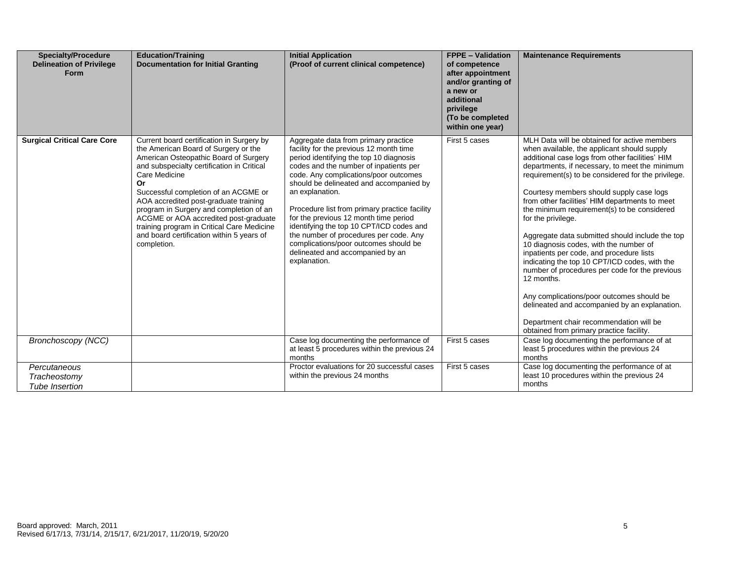| <b>Specialty/Procedure</b><br><b>Delineation of Privilege</b><br><b>Form</b> | <b>Education/Training</b><br><b>Documentation for Initial Granting</b>                                                                                                                                                                                                                                                                                                                                                                                                         | <b>Initial Application</b><br>(Proof of current clinical competence)                                                                                                                                                                                                                                                                                                                                                                                                                                                                                     | <b>FPPE - Validation</b><br>of competence<br>after appointment<br>and/or granting of<br>a new or<br>additional<br>privilege<br>(To be completed<br>within one year) | <b>Maintenance Requirements</b>                                                                                                                                                                                                                                                                                                                                                                                                                                                                                                                                                                                                                                                                                                                                                                                                                                          |
|------------------------------------------------------------------------------|--------------------------------------------------------------------------------------------------------------------------------------------------------------------------------------------------------------------------------------------------------------------------------------------------------------------------------------------------------------------------------------------------------------------------------------------------------------------------------|----------------------------------------------------------------------------------------------------------------------------------------------------------------------------------------------------------------------------------------------------------------------------------------------------------------------------------------------------------------------------------------------------------------------------------------------------------------------------------------------------------------------------------------------------------|---------------------------------------------------------------------------------------------------------------------------------------------------------------------|--------------------------------------------------------------------------------------------------------------------------------------------------------------------------------------------------------------------------------------------------------------------------------------------------------------------------------------------------------------------------------------------------------------------------------------------------------------------------------------------------------------------------------------------------------------------------------------------------------------------------------------------------------------------------------------------------------------------------------------------------------------------------------------------------------------------------------------------------------------------------|
| <b>Surgical Critical Care Core</b>                                           | Current board certification in Surgery by<br>the American Board of Surgery or the<br>American Osteopathic Board of Surgery<br>and subspecialty certification in Critical<br>Care Medicine<br>Or<br>Successful completion of an ACGME or<br>AOA accredited post-graduate training<br>program in Surgery and completion of an<br>ACGME or AOA accredited post-graduate<br>training program in Critical Care Medicine<br>and board certification within 5 years of<br>completion. | Aggregate data from primary practice<br>facility for the previous 12 month time<br>period identifying the top 10 diagnosis<br>codes and the number of inpatients per<br>code. Any complications/poor outcomes<br>should be delineated and accompanied by<br>an explanation.<br>Procedure list from primary practice facility<br>for the previous 12 month time period<br>identifying the top 10 CPT/ICD codes and<br>the number of procedures per code. Any<br>complications/poor outcomes should be<br>delineated and accompanied by an<br>explanation. | First 5 cases                                                                                                                                                       | MLH Data will be obtained for active members<br>when available, the applicant should supply<br>additional case logs from other facilities' HIM<br>departments, if necessary, to meet the minimum<br>requirement(s) to be considered for the privilege.<br>Courtesy members should supply case logs<br>from other facilities' HIM departments to meet<br>the minimum requirement(s) to be considered<br>for the privilege.<br>Aggregate data submitted should include the top<br>10 diagnosis codes, with the number of<br>inpatients per code, and procedure lists<br>indicating the top 10 CPT/ICD codes, with the<br>number of procedures per code for the previous<br>12 months.<br>Any complications/poor outcomes should be<br>delineated and accompanied by an explanation.<br>Department chair recommendation will be<br>obtained from primary practice facility. |
| <b>Bronchoscopy (NCC)</b>                                                    |                                                                                                                                                                                                                                                                                                                                                                                                                                                                                | Case log documenting the performance of<br>at least 5 procedures within the previous 24<br>months                                                                                                                                                                                                                                                                                                                                                                                                                                                        | First 5 cases                                                                                                                                                       | Case log documenting the performance of at<br>least 5 procedures within the previous 24<br>months                                                                                                                                                                                                                                                                                                                                                                                                                                                                                                                                                                                                                                                                                                                                                                        |
| Percutaneous<br>Tracheostomy<br><b>Tube Insertion</b>                        |                                                                                                                                                                                                                                                                                                                                                                                                                                                                                | Proctor evaluations for 20 successful cases<br>within the previous 24 months                                                                                                                                                                                                                                                                                                                                                                                                                                                                             | First 5 cases                                                                                                                                                       | Case log documenting the performance of at<br>least 10 procedures within the previous 24<br>months                                                                                                                                                                                                                                                                                                                                                                                                                                                                                                                                                                                                                                                                                                                                                                       |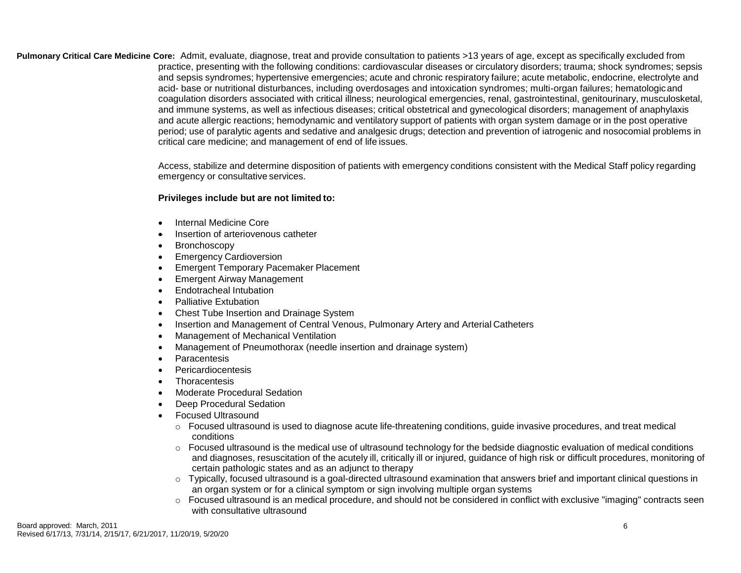**Pulmonary Critical Care Medicine Core:** Admit, evaluate, diagnose, treat and provide consultation to patients >13 years of age, except as specifically excluded from practice, presenting with the following conditions: cardiovascular diseases or circulatory disorders; trauma; shock syndromes; sepsis and sepsis syndromes; hypertensive emergencies; acute and chronic respiratory failure; acute metabolic, endocrine, electrolyte and acid- base or nutritional disturbances, including overdosages and intoxication syndromes; multi-organ failures; hematologicand coagulation disorders associated with critical illness; neurological emergencies, renal, gastrointestinal, genitourinary, musculosketal, and immune systems, as well as infectious diseases; critical obstetrical and gynecological disorders; management of anaphylaxis and acute allergic reactions; hemodynamic and ventilatory support of patients with organ system damage or in the post operative period; use of paralytic agents and sedative and analgesic drugs; detection and prevention of iatrogenic and nosocomial problems in critical care medicine; and management of end of life issues.

> Access, stabilize and determine disposition of patients with emergency conditions consistent with the Medical Staff policy regarding emergency or consultative services.

# **Privileges include but are not limited to:**

- Internal Medicine Core
- Insertion of arteriovenous catheter
- Bronchoscopy
- **•** Emergency Cardioversion
- **Emergent Temporary Pacemaker Placement**
- Emergent Airway Management
- Endotracheal Intubation
- Palliative Extubation
- Chest Tube Insertion and Drainage System
- Insertion and Management of Central Venous, Pulmonary Artery and Arterial Catheters
- Management of Mechanical Ventilation
- Management of Pneumothorax (needle insertion and drainage system)
- Paracentesis
- Pericardiocentesis
- **Thoracentesis**
- Moderate Procedural Sedation
- Deep Procedural Sedation
- Focused Ultrasound
	- $\circ$  Focused ultrasound is used to diagnose acute life-threatening conditions, guide invasive procedures, and treat medical conditions
	- $\circ$  Focused ultrasound is the medical use of ultrasound technology for the bedside diagnostic evaluation of medical conditions and diagnoses, resuscitation of the acutely ill, critically ill or injured, guidance of high risk or difficult procedures, monitoring of certain pathologic states and as an adjunct to therapy
	- $\circ$  Typically, focused ultrasound is a goal-directed ultrasound examination that answers brief and important clinical questions in an organ system or for a clinical symptom or sign involving multiple organ systems
	- $\circ$  Focused ultrasound is an medical procedure, and should not be considered in conflict with exclusive "imaging" contracts seen with consultative ultrasound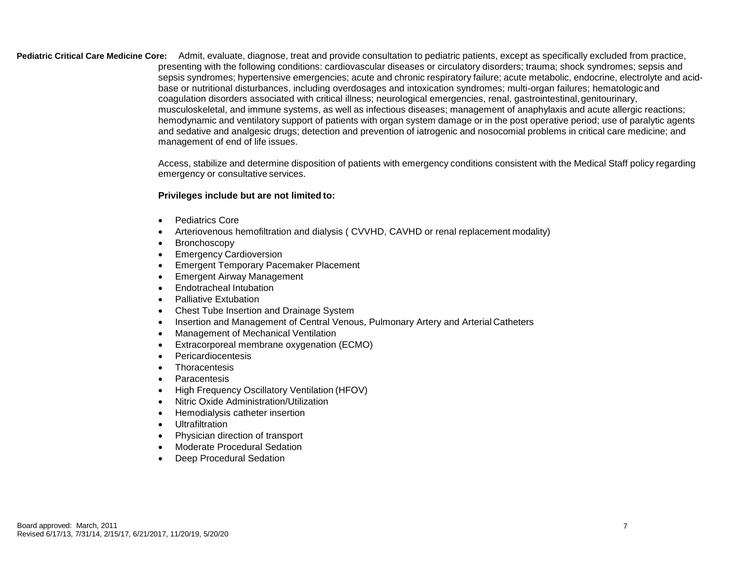**Pediatric Critical Care Medicine Core:** Admit, evaluate, diagnose, treat and provide consultation to pediatric patients, except as specifically excluded from practice, presenting with the following conditions: cardiovascular diseases or circulatory disorders; trauma; shock syndromes; sepsis and sepsis syndromes; hypertensive emergencies; acute and chronic respiratory failure; acute metabolic, endocrine, electrolyte and acidbase or nutritional disturbances, including overdosages and intoxication syndromes; multi-organ failures; hematologicand coagulation disorders associated with critical illness; neurological emergencies, renal, gastrointestinal,genitourinary, musculoskeletal, and immune systems, as well as infectious diseases; management of anaphylaxis and acute allergic reactions; hemodynamic and ventilatory support of patients with organ system damage or in the post operative period; use of paralytic agents and sedative and analgesic drugs; detection and prevention of iatrogenic and nosocomial problems in critical care medicine; and management of end of life issues.

> Access, stabilize and determine disposition of patients with emergency conditions consistent with the Medical Staff policy regarding emergency or consultative services.

### **Privileges include but are not limited to:**

- Pediatrics Core
- Arteriovenous hemofiltration and dialysis ( CVVHD, CAVHD or renal replacement modality)
- Bronchoscopy
- Emergency Cardioversion
- Emergent Temporary Pacemaker Placement
- Emergent Airway Management
- Endotracheal Intubation
- Palliative Extubation
- Chest Tube Insertion and Drainage System
- Insertion and Management of Central Venous, Pulmonary Artery and Arterial Catheters
- Management of Mechanical Ventilation
- Extracorporeal membrane oxygenation (ECMO)
- Pericardiocentesis
- Thoracentesis
- Paracentesis
- High Frequency Oscillatory Ventilation (HFOV)
- Nitric Oxide Administration/Utilization
- Hemodialysis catheter insertion
- Ultrafiltration
- Physician direction of transport
- Moderate Procedural Sedation
- Deep Procedural Sedation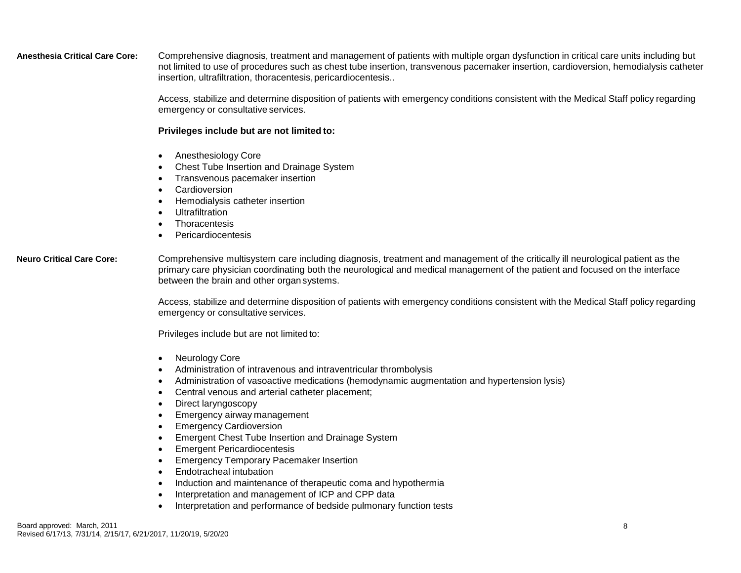**Anesthesia Critical Care Core:** Comprehensive diagnosis, treatment and management of patients with multiple organ dysfunction in critical care units including but not limited to use of procedures such as chest tube insertion, transvenous pacemaker insertion, cardioversion, hemodialysis catheter insertion, ultrafiltration, thoracentesis, pericardiocentesis..

> Access, stabilize and determine disposition of patients with emergency conditions consistent with the Medical Staff policy regarding emergency or consultative services.

### **Privileges include but are not limited to:**

- Anesthesiology Core
- Chest Tube Insertion and Drainage System
- Transvenous pacemaker insertion
- Cardioversion
- Hemodialysis catheter insertion
- Ultrafiltration
- **Thoracentesis**
- Pericardiocentesis

**Neuro Critical Care Core:** Comprehensive multisystem care including diagnosis, treatment and management of the critically ill neurological patient as the primary care physician coordinating both the neurological and medical management of the patient and focused on the interface between the brain and other organsystems.

> Access, stabilize and determine disposition of patients with emergency conditions consistent with the Medical Staff policy regarding emergency or consultative services.

Privileges include but are not limitedto:

- Neurology Core
- Administration of intravenous and intraventricular thrombolysis
- Administration of vasoactive medications (hemodynamic augmentation and hypertension lysis)
- Central venous and arterial catheter placement;
- Direct laryngoscopy
- Emergency airway management
- Emergency Cardioversion
- **Emergent Chest Tube Insertion and Drainage System**
- Emergent Pericardiocentesis
- Emergency Temporary Pacemaker Insertion
- Endotracheal intubation
- Induction and maintenance of therapeutic coma and hypothermia
- Interpretation and management of ICP and CPP data
- Interpretation and performance of bedside pulmonary function tests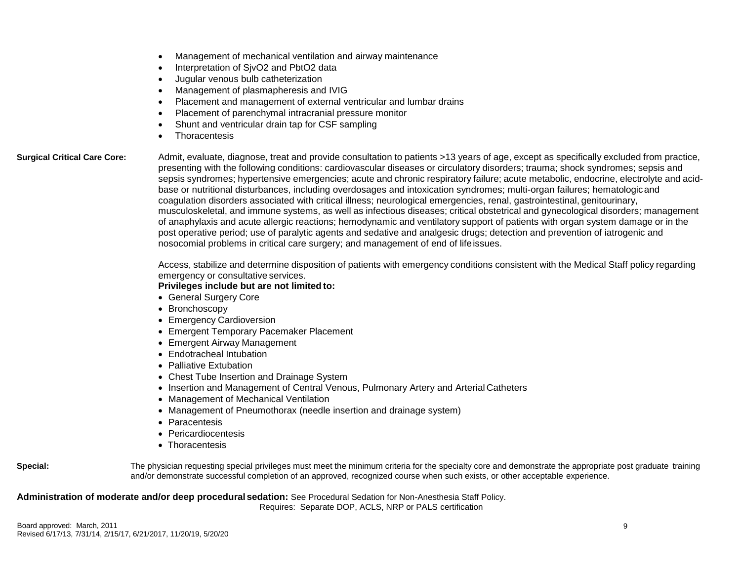- Management of mechanical ventilation and airway maintenance
- Interpretation of SjvO2 and PbtO2 data
- Jugular venous bulb catheterization
- Management of plasmapheresis and IVIG
- Placement and management of external ventricular and lumbar drains
- Placement of parenchymal intracranial pressure monitor
- Shunt and ventricular drain tap for CSF sampling
- Thoracentesis

**Surgical Critical Care Core:** Admit, evaluate, diagnose, treat and provide consultation to patients >13 years of age, except as specifically excluded from practice, presenting with the following conditions: cardiovascular diseases or circulatory disorders; trauma; shock syndromes; sepsis and sepsis syndromes; hypertensive emergencies; acute and chronic respiratory failure; acute metabolic, endocrine, electrolyte and acidbase or nutritional disturbances, including overdosages and intoxication syndromes; multi-organ failures; hematologicand coagulation disorders associated with critical illness; neurological emergencies, renal, gastrointestinal, genitourinary, musculoskeletal, and immune systems, as well as infectious diseases; critical obstetrical and gynecological disorders; management of anaphylaxis and acute allergic reactions; hemodynamic and ventilatory support of patients with organ system damage or in the post operative period; use of paralytic agents and sedative and analgesic drugs; detection and prevention of iatrogenic and nosocomial problems in critical care surgery; and management of end of lifeissues.

> Access, stabilize and determine disposition of patients with emergency conditions consistent with the Medical Staff policy regarding emergency or consultative services.

### **Privileges include but are not limited to:**

- General Surgery Core
- Bronchoscopy
- Emergency Cardioversion
- Emergent Temporary Pacemaker Placement
- Emergent Airway Management
- Endotracheal Intubation
- Palliative Extubation
- Chest Tube Insertion and Drainage System
- Insertion and Management of Central Venous, Pulmonary Artery and Arterial Catheters
- Management of Mechanical Ventilation
- Management of Pneumothorax (needle insertion and drainage system)
- Paracentesis
- Pericardiocentesis
- Thoracentesis

| Special: | The physician requesting special privileges must meet the minimum criteria for the specialty core and demonstrate the appropriate post graduate training |
|----------|----------------------------------------------------------------------------------------------------------------------------------------------------------|
|          | and/or demonstrate successful completion of an approved, recognized course when such exists, or other acceptable experience.                             |

**Administration of moderate and/or deep procedural sedation:** See Procedural Sedation for Non-Anesthesia Staff Policy.

Requires: Separate DOP, ACLS, NRP or PALS certification